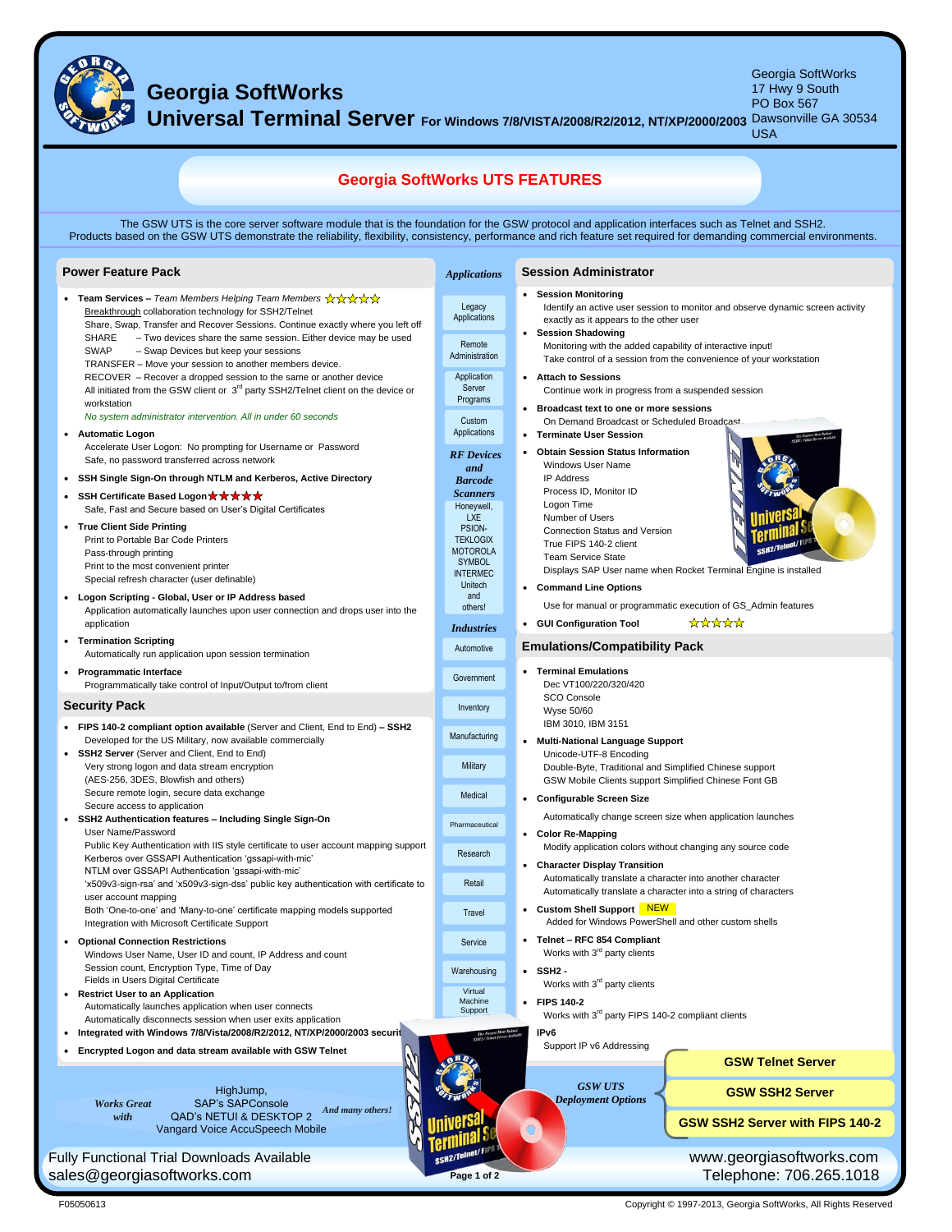

## **Georgia SoftWorks**

Georgia SoftWorks 17 Hwy 9 South Dawsonville GA 30534

**Universal Terminal Server For Windows 7/8/VISTA/2008/R2/2012, NT/XP/2000/2003** PO Box 567

| <u>TWO</u><br>.                                                                                                                                                                                                                                                                                                         |                                                                                  | <b>THIS SECTION TO LATE COOLLE</b><br><b>USA</b>                                                                                                                         |  |  |  |
|-------------------------------------------------------------------------------------------------------------------------------------------------------------------------------------------------------------------------------------------------------------------------------------------------------------------------|----------------------------------------------------------------------------------|--------------------------------------------------------------------------------------------------------------------------------------------------------------------------|--|--|--|
| <b>Georgia SoftWorks UTS FEATURES</b>                                                                                                                                                                                                                                                                                   |                                                                                  |                                                                                                                                                                          |  |  |  |
| The GSW UTS is the core server software module that is the foundation for the GSW protocol and application interfaces such as Telnet and SSH2.<br>Products based on the GSW UTS demonstrate the reliability, flexibility, consistency, performance and rich feature set required for demanding commercial environments. |                                                                                  |                                                                                                                                                                          |  |  |  |
| <b>Power Feature Pack</b>                                                                                                                                                                                                                                                                                               | <b>Applications</b>                                                              | <b>Session Administrator</b>                                                                                                                                             |  |  |  |
| • Team Services – Team Members Helping Team Members $\overleftrightarrow{\mathbf{x}} \overleftrightarrow{\mathbf{x}} \overleftrightarrow{\mathbf{x}}$<br>Breakthrough collaboration technology for SSH2/Telnet<br>Share, Swap, Transfer and Recover Sessions. Continue exactly where you left off                       | Legacy<br>Applications                                                           | • Session Monitoring<br>Identify an active user session to monitor and observe dynamic screen activity<br>exactly as it appears to the other user<br>• Session Shadowing |  |  |  |
| SHARE<br>- Two devices share the same session. Either device may be used<br><b>SWAP</b><br>- Swap Devices but keep your sessions<br>TRANSFER - Move your session to another members device.<br>RECOVER – Recover a dropped session to the same or another device                                                        | Remote<br>Administration<br>Application                                          | Monitoring with the added capability of interactive input!<br>Take control of a session from the convenience of your workstation<br>• Attach to Sessions                 |  |  |  |
| All initiated from the GSW client or 3 <sup>rd</sup> party SSH2/Telnet client on the device or<br>workstation<br>No system administrator intervention. All in under 60 seconds                                                                                                                                          | Server<br>Programs<br>Custom                                                     | Continue work in progress from a suspended session<br>• Broadcast text to one or more sessions<br>On Demand Broadcast or Scheduled Broadcast                             |  |  |  |
| <b>Automatic Logon</b><br>Accelerate User Logon: No prompting for Username or Password<br>Safe, no password transferred across network                                                                                                                                                                                  | Applications<br><b>RF</b> Devices<br>and                                         | • Terminate User Session<br>• Obtain Session Status Information<br>Windows User Name                                                                                     |  |  |  |
| SSH Single Sign-On through NTLM and Kerberos, Active Directory<br>• SSH Certificate Based Logon ★ ★ ★ ★ ★<br>Safe, Fast and Secure based on User's Digital Certificates                                                                                                                                                 | <b>Barcode</b><br><b>Scanners</b><br>Honeywell,<br><b>LXE</b>                    | <b>IP Address</b><br>Process ID, Monitor ID<br>Logon Time<br>Number of Users                                                                                             |  |  |  |
| • True Client Side Printing<br>Print to Portable Bar Code Printers<br>Pass-through printing<br>Print to the most convenient printer<br>Special refresh character (user definable)                                                                                                                                       | PSION-<br><b>TEKLOGIX</b><br><b>MOTOROLA</b><br><b>SYMBOL</b><br><b>INTERMEC</b> | <b>Connection Status and Version</b><br>True FIPS 140-2 client<br><b>Team Service State</b><br>Displays SAP User name when Rocket Terminal Engine is installed           |  |  |  |
| • Logon Scripting - Global, User or IP Address based<br>Application automatically launches upon user connection and drops user into the<br>application                                                                                                                                                                  | Unitech<br>and<br>others!<br><b>Industries</b>                                   | • Command Line Options<br>Use for manual or programmatic execution of GS_Admin features<br>*****<br>• GUI Configuration Tool                                             |  |  |  |
| • Termination Scripting<br>Automatically run application upon session termination                                                                                                                                                                                                                                       | Automotive                                                                       | <b>Emulations/Compatibility Pack</b>                                                                                                                                     |  |  |  |
| • Programmatic Interface<br>Programmatically take control of Input/Output to/from client                                                                                                                                                                                                                                | Government                                                                       | • Terminal Emulations<br>Dec VT100/220/320/420                                                                                                                           |  |  |  |
| <b>Security Pack</b>                                                                                                                                                                                                                                                                                                    | Inventory                                                                        | SCO Console<br>Wyse 50/60                                                                                                                                                |  |  |  |
| • FIPS 140-2 compliant option available (Server and Client, End to End) - SSH2<br>Developed for the US Military, now available commercially<br>• SSH2 Server (Server and Client, End to End)                                                                                                                            | Manufacturing                                                                    | IBM 3010, IBM 3151<br>• Multi-National Language Support<br>Unicode-UTF-8 Encoding                                                                                        |  |  |  |
| Very strong logon and data stream encryption<br>(AES-256, 3DES, Blowfish and others)                                                                                                                                                                                                                                    | Military                                                                         | Double-Byte, Traditional and Simplified Chinese support<br>GSW Mobile Clients support Simplified Chinese Font GB                                                         |  |  |  |
| Secure remote login, secure data exchange<br>Secure access to application                                                                                                                                                                                                                                               | Medical                                                                          | • Configurable Screen Size<br>Automatically change screen size when application launches                                                                                 |  |  |  |
| SSH2 Authentication features - Including Single Sign-On<br>User Name/Password<br>Public Key Authentication with IIS style certificate to user account mapping support                                                                                                                                                   | Pharmaceutical                                                                   | • Color Re-Mapping                                                                                                                                                       |  |  |  |
| Kerberos over GSSAPI Authentication 'gssapi-with-mic'<br>NTLM over GSSAPI Authentication 'gssapi-with-mic'                                                                                                                                                                                                              | Research                                                                         | Modify application colors without changing any source code<br>• Character Display Transition                                                                             |  |  |  |
| 'x509v3-sign-rsa' and 'x509v3-sign-dss' public key authentication with certificate to<br>user account mapping                                                                                                                                                                                                           | Retail                                                                           | Automatically translate a character into another character<br>Automatically translate a character into a string of characters                                            |  |  |  |
| Both 'One-to-one' and 'Many-to-one' certificate mapping models supported<br>Integration with Microsoft Certificate Support                                                                                                                                                                                              | Travel                                                                           | • Custom Shell Support NEW<br>Added for Windows PowerShell and other custom shells                                                                                       |  |  |  |
| <b>Optional Connection Restrictions</b><br>Windows User Name, User ID and count, IP Address and count                                                                                                                                                                                                                   | Service                                                                          | • Telnet - RFC 854 Compliant<br>Works with 3 <sup>rd</sup> party clients                                                                                                 |  |  |  |
| Session count, Encryption Type, Time of Day<br>Fields in Users Digital Certificate                                                                                                                                                                                                                                      | Warehousing                                                                      | $\cdot$ SSH <sub>2</sub> -<br>Works with 3 <sup>rd</sup> party clients                                                                                                   |  |  |  |
| <b>Restrict User to an Application</b><br>$\bullet$<br>Automatically launches application when user connects<br>Automatically disconnects session when user exits application                                                                                                                                           | Virtual<br>Machine<br>Support                                                    | • FIPS 140-2<br>Works with 3 <sup>rd</sup> party FIPS 140-2 compliant clients                                                                                            |  |  |  |
| Integrated with Windows 7/8/Vista/2008/R2/2012, NT/XP/2000/2003 securit<br>$\bullet$                                                                                                                                                                                                                                    |                                                                                  | IP <sub>v6</sub>                                                                                                                                                         |  |  |  |
| Encrypted Logon and data stream available with GSW Telnet                                                                                                                                                                                                                                                               |                                                                                  | Support IP v6 Addressing<br><b>GSW Telnet Server</b>                                                                                                                     |  |  |  |
| HighJump,<br><b>SAP's SAPConsole</b>                                                                                                                                                                                                                                                                                    |                                                                                  | <b>GSW UTS</b><br><b>GSW SSH2 Server</b><br><b>Deployment Options</b>                                                                                                    |  |  |  |
| <b>Works Great</b><br>And many others!<br><b>QAD's NETUI &amp; DESKTOP 2</b><br>with<br>Vangard Voice AccuSpeech Mobile                                                                                                                                                                                                 |                                                                                  | <b>GSW SSH2 Server with FIPS 140-2</b>                                                                                                                                   |  |  |  |
| SSH2/Telnet/F<br>www.georgiasoftworks.com<br><b>Fully Functional Trial Downloads Available</b>                                                                                                                                                                                                                          |                                                                                  |                                                                                                                                                                          |  |  |  |
| sales@georgiasoftworks.com                                                                                                                                                                                                                                                                                              | Page 1 of 2                                                                      | Telephone: 706.265.1018                                                                                                                                                  |  |  |  |